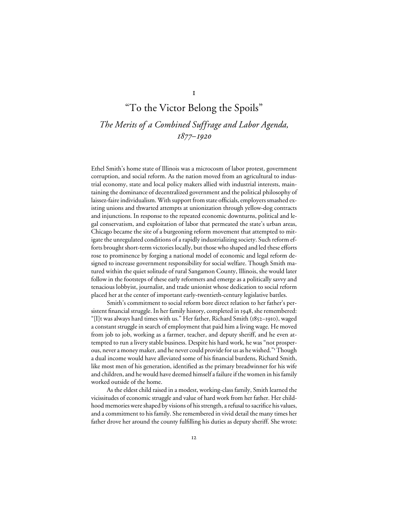## "To the Victor Belong the Spoils"

1

## *The Merits of a Combined Suffrage and Labor Agenda, 1877–1920*

Ethel Smith's home state of Illinois was a microcosm of labor protest, government corruption, and social reform. As the nation moved from an agricultural to industrial economy, state and local policy makers allied with industrial interests, maintaining the dominance of decentralized government and the political philosophy of laissez-faire individualism. With support from state officials, employers smashed existing unions and thwarted attempts at unionization through yellow-dog contracts and injunctions. In response to the repeated economic downturns, political and legal conservatism, and exploitation of labor that permeated the state's urban areas, Chicago became the site of a burgeoning reform movement that attempted to mitigate the unregulated conditions of a rapidly industrializing society. Such reform efforts brought short-term victories locally, but those who shaped and led these efforts rose to prominence by forging a national model of economic and legal reform designed to increase government responsibility for social welfare. Though Smith matured within the quiet solitude of rural Sangamon County, Illinois, she would later follow in the footsteps of these early reformers and emerge as a politically savvy and tenacious lobbyist, journalist, and trade unionist whose dedication to social reform placed her at the center of important early-twentieth-century legislative battles.

Smith's commitment to social reform bore direct relation to her father's persistent financial struggle. In her family history, completed in 1948, she remembered: "[I]t was always hard times with us." Her father, Richard Smith (1852–1910), waged a constant struggle in search of employment that paid him a living wage. He moved from job to job, working as a farmer, teacher, and deputy sheriff, and he even attempted to run a livery stable business. Despite his hard work, he was "not prosperous, never a money maker, and he never could provide for us as he wished."<sup>1</sup> Though a dual income would have alleviated some of his financial burdens, Richard Smith, like most men of his generation, identified as the primary breadwinner for his wife and children, and he would have deemed himself a failure if the women in his family worked outside of the home.

As the eldest child raised in a modest, working-class family, Smith learned the vicissitudes of economic struggle and value of hard work from her father. Her childhood memories were shaped by visions of his strength, a refusal to sacrifice his values, and a commitment to his family. She remembered in vivid detail the many times her father drove her around the county fulfilling his duties as deputy sheriff. She wrote: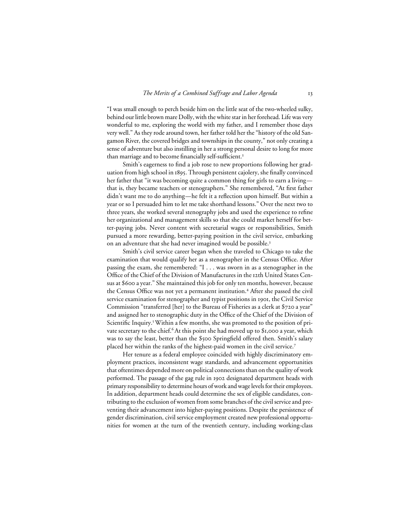"I was small enough to perch beside him on the little seat of the two-wheeled sulky, behind our little brown mare Dolly, with the white star in her forehead. Life was very wonderful to me, exploring the world with my father, and I remember those days very well." As they rode around town, her father told her the "history of the old Sangamon River, the covered bridges and townships in the county," not only creating a sense of adventure but also instilling in her a strong personal desire to long for more than marriage and to become financially self-sufficient.<sup>2</sup>

Smith's eagerness to find a job rose to new proportions following her graduation from high school in 1895. Through persistent cajolery, she finally convinced her father that "it was becoming quite a common thing for girls to earn a living that is, they became teachers or stenographers." She remembered, "At first father didn't want me to do anything—he felt it a reflection upon himself. But within a year or so I persuaded him to let me take shorthand lessons." Over the next two to three years, she worked several stenography jobs and used the experience to refine her organizational and management skills so that she could market herself for better-paying jobs. Never content with secretarial wages or responsibilities, Smith pursued a more rewarding, better-paying position in the civil service, embarking on an adventure that she had never imagined would be possible.<sup>3</sup>

Smith's civil service career began when she traveled to Chicago to take the examination that would qualify her as a stenographer in the Census Office. After passing the exam, she remembered: "I . . . was sworn in as a stenographer in the Office of the Chief of the Division of Manufactures in the 12th United States Census at \$600 a year." She maintained this job for only ten months, however, because the Census Office was not yet a permanent institution.<sup>4</sup> After she passed the civil service examination for stenographer and typist positions in 1901, the Civil Service Commission "transferred [her] to the Bureau of Fisheries as a clerk at \$720 a year" and assigned her to stenographic duty in the Office of the Chief of the Division of Scientific Inquiry.<sup>5</sup> Within a few months, she was promoted to the position of private secretary to the chief.<sup>6</sup> At this point she had moved up to  $$1,000$  a year, which was to say the least, better than the \$500 Springfield offered then. Smith's salary placed her within the ranks of the highest-paid women in the civil service.7

Her tenure as a federal employee coincided with highly discriminatory employment practices, inconsistent wage standards, and advancement opportunities that oftentimes depended more on political connections than on the quality of work performed. The passage of the gag rule in 1902 designated department heads with primary responsibility to determine hours of work and wage levels for their employees. In addition, department heads could determine the sex of eligible candidates, contributing to the exclusion of women from some branches of the civil service and preventing their advancement into higher-paying positions. Despite the persistence of gender discrimination, civil service employment created new professional opportunities for women at the turn of the twentieth century, including working-class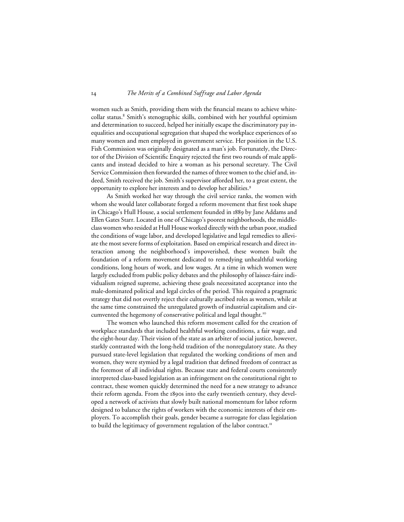women such as Smith, providing them with the financial means to achieve whitecollar status.<sup>8</sup> Smith's stenographic skills, combined with her youthful optimism and determination to succeed, helped her initially escape the discriminatory pay inequalities and occupational segregation that shaped the workplace experiences of so many women and men employed in government service. Her position in the U.S. Fish Commission was originally designated as a man's job. Fortunately, the Director of the Division of Scientific Enquiry rejected the first two rounds of male applicants and instead decided to hire a woman as his personal secretary. The Civil Service Commission then forwarded the names of three women to the chief and, indeed, Smith received the job. Smith's supervisor afforded her, to a great extent, the opportunity to explore her interests and to develop her abilities.9

As Smith worked her way through the civil service ranks, the women with whom she would later collaborate forged a reform movement that first took shape in Chicago's Hull House, a social settlement founded in 1889 by Jane Addams and Ellen Gates Starr. Located in one of Chicago's poorest neighborhoods, the middleclass women who resided at Hull House worked directly with the urban poor, studied the conditions of wage labor, and developed legislative and legal remedies to alleviate the most severe forms of exploitation. Based on empirical research and direct interaction among the neighborhood's impoverished, these women built the foundation of a reform movement dedicated to remedying unhealthful working conditions, long hours of work, and low wages. At a time in which women were largely excluded from public policy debates and the philosophy of laissez-faire individualism reigned supreme, achieving these goals necessitated acceptance into the male-dominated political and legal circles of the period. This required a pragmatic strategy that did not overtly reject their culturally ascribed roles as women, while at the same time constrained the unregulated growth of industrial capitalism and circumvented the hegemony of conservative political and legal thought.10

The women who launched this reform movement called for the creation of workplace standards that included healthful working conditions, a fair wage, and the eight-hour day. Their vision of the state as an arbiter of social justice, however, starkly contrasted with the long-held tradition of the nonregulatory state. As they pursued state-level legislation that regulated the working conditions of men and women, they were stymied by a legal tradition that defined freedom of contract as the foremost of all individual rights. Because state and federal courts consistently interpreted class-based legislation as an infringement on the constitutional right to contract, these women quickly determined the need for a new strategy to advance their reform agenda. From the 1890s into the early twentieth century, they developed a network of activists that slowly built national momentum for labor reform designed to balance the rights of workers with the economic interests of their employers. To accomplish their goals, gender became a surrogate for class legislation to build the legitimacy of government regulation of the labor contract.<sup>11</sup>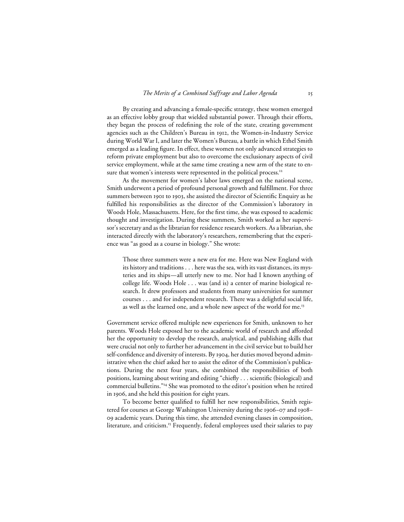By creating and advancing a female-specific strategy, these women emerged as an effective lobby group that wielded substantial power. Through their efforts, they began the process of redefining the role of the state, creating government agencies such as the Children's Bureau in 1912, the Women-in-Industry Service during World War I, and later the Women's Bureau, a battle in which Ethel Smith emerged as a leading figure. In effect, these women not only advanced strategies to reform private employment but also to overcome the exclusionary aspects of civil service employment, while at the same time creating a new arm of the state to ensure that women's interests were represented in the political process.<sup>12</sup>

As the movement for women's labor laws emerged on the national scene, Smith underwent a period of profound personal growth and fulfillment. For three summers between 1901 to 1903, she assisted the director of Scientific Enquiry as he fulfilled his responsibilities as the director of the Commission's laboratory in Woods Hole, Massachusetts. Here, for the first time, she was exposed to academic thought and investigation. During these summers, Smith worked as her supervisor's secretary and as the librarian for residence research workers. As a librarian, she interacted directly with the laboratory's researchers, remembering that the experience was "as good as a course in biology." She wrote:

Those three summers were a new era for me. Here was New England with its history and traditions . . . here was the sea, with its vast distances, its mysteries and its ships—all utterly new to me. Nor had I known anything of college life. Woods Hole . . . was (and is) a center of marine biological research. It drew professors and students from many universities for summer courses . . . and for independent research. There was a delightful social life, as well as the learned one, and a whole new aspect of the world for me.<sup>13</sup>

Government service offered multiple new experiences for Smith, unknown to her parents. Woods Hole exposed her to the academic world of research and afforded her the opportunity to develop the research, analytical, and publishing skills that were crucial not only to further her advancement in the civil service but to build her self-confidence and diversity of interests. By 1904, her duties moved beyond administrative when the chief asked her to assist the editor of the Commission's publications. During the next four years, she combined the responsibilities of both positions, learning about writing and editing "chiefly . . . scientific (biological) and commercial bulletins."14 She was promoted to the editor's position when he retired in 1906, and she held this position for eight years.

To become better qualified to fulfill her new responsibilities, Smith registered for courses at George Washington University during the 1906–07 and 1908– 09 academic years. During this time, she attended evening classes in composition, literature, and criticism.<sup>15</sup> Frequently, federal employees used their salaries to pay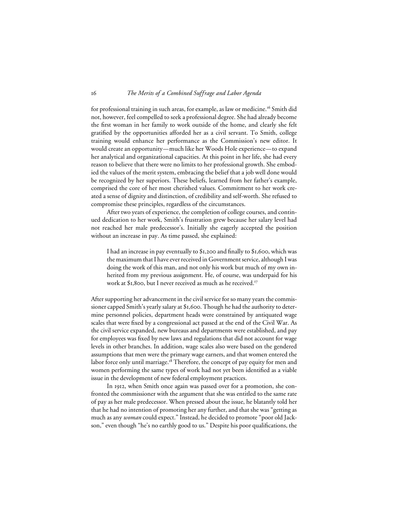for professional training in such areas, for example, as law or medicine.<sup>16</sup> Smith did not, however, feel compelled to seek a professional degree. She had already become the first woman in her family to work outside of the home, and clearly she felt gratified by the opportunities afforded her as a civil servant. To Smith, college training would enhance her performance as the Commission's new editor. It would create an opportunity—much like her Woods Hole experience—to expand her analytical and organizational capacities. At this point in her life, she had every reason to believe that there were no limits to her professional growth. She embodied the values of the merit system, embracing the belief that a job well done would be recognized by her superiors. These beliefs, learned from her father's example, comprised the core of her most cherished values. Commitment to her work created a sense of dignity and distinction, of credibility and self-worth. She refused to compromise these principles, regardless of the circumstances.

After two years of experience, the completion of college courses, and continued dedication to her work, Smith's frustration grew because her salary level had not reached her male predecessor's. Initially she eagerly accepted the position without an increase in pay. As time passed, she explained:

I had an increase in pay eventually to  $$1,200$  and finally to  $$1,600$ , which was the maximum that I have ever received in Government service, although I was doing the work of this man, and not only his work but much of my own inherited from my previous assignment. He, of course, was underpaid for his work at \$1,800, but I never received as much as he received.<sup>17</sup>

After supporting her advancement in the civil service for so many years the commissioner capped Smith's yearly salary at \$1,600. Though he had the authority to determine personnel policies, department heads were constrained by antiquated wage scales that were fixed by a congressional act passed at the end of the Civil War. As the civil service expanded, new bureaus and departments were established, and pay for employees was fixed by new laws and regulations that did not account for wage levels in other branches. In addition, wage scales also were based on the gendered assumptions that men were the primary wage earners, and that women entered the labor force only until marriage.<sup>18</sup> Therefore, the concept of pay equity for men and women performing the same types of work had not yet been identified as a viable issue in the development of new federal employment practices.

In 1912, when Smith once again was passed over for a promotion, she confronted the commissioner with the argument that she was entitled to the same rate of pay as her male predecessor. When pressed about the issue, he blatantly told her that he had no intention of promoting her any further, and that she was "getting as much as any *woman* could expect." Instead, he decided to promote "poor old Jackson," even though "he's no earthly good to us." Despite his poor qualifications, the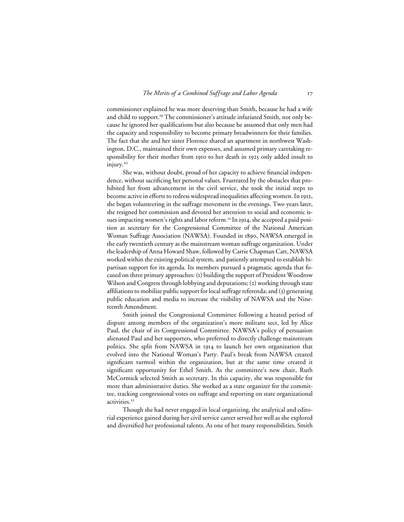commissioner explained he was more deserving than Smith, because he had a wife and child to support.<sup>19</sup> The commissioner's attitude infuriated Smith, not only because he ignored her qualifications but also because he assumed that only men had the capacity and responsibility to become primary breadwinners for their families. The fact that she and her sister Florence shared an apartment in northwest Washington, D.C., maintained their own expenses, and assumed primary caretaking responsibility for their mother from 1910 to her death in 1925 only added insult to injury.20

She was, without doubt, proud of her capacity to achieve financial independence, without sacrificing her personal values. Frustrated by the obstacles that prohibited her from advancement in the civil service, she took the initial steps to become active in efforts to redress widespread inequalities affecting women. In 1912, she began volunteering in the suffrage movement in the evenings. Two years later, she resigned her commission and devoted her attention to social and economic issues impacting women's rights and labor reform.<sup>21</sup> In 1914, she accepted a paid position as secretary for the Congressional Committee of the National American Woman Suffrage Association (NAWSA). Founded in 1890, NAWSA emerged in the early twentieth century as the mainstream woman suffrage organization. Under the leadership of Anna Howard Shaw, followed by Carrie Chapman Catt, NAWSA worked within the existing political system, and patiently attempted to establish bipartisan support for its agenda. Its members pursued a pragmatic agenda that focused on three primary approaches: (1) building the support of President Woodrow Wilson and Congress through lobbying and deputations; (2) working through state affiliations to mobilize public support for local suffrage referenda; and  $(3)$  generating public education and media to increase the visibility of NAWSA and the Nineteenth Amendment.

Smith joined the Congressional Committee following a heated period of dispute among members of the organization's more militant sect, led by Alice Paul, the chair of its Congressional Committee. NAWSA's policy of persuasion alienated Paul and her supporters, who preferred to directly challenge mainstream politics. She split from NAWSA in 1914 to launch her own organization that evolved into the National Woman's Party. Paul's break from NAWSA created significant turmoil within the organization, but at the same time created it significant opportunity for Ethel Smith. As the committee's new chair, Ruth McCormick selected Smith as secretary. In this capacity, she was responsible for more than administrative duties. She worked as a state organizer for the committee, tracking congressional votes on suffrage and reporting on state organizational activities.<sup>22</sup>

Though she had never engaged in local organizing, the analytical and editorial experience gained during her civil service career served her well as she explored and diversified her professional talents. As one of her many responsibilities, Smith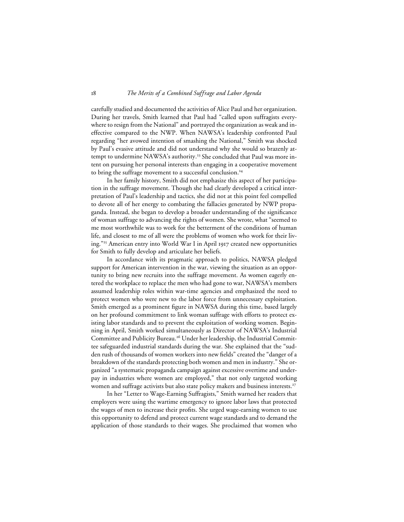carefully studied and documented the activities of Alice Paul and her organization. During her travels, Smith learned that Paul had "called upon suffragists everywhere to resign from the National" and portrayed the organization as weak and ineffective compared to the NWP. When NAWSA's leadership confronted Paul regarding "her avowed intention of smashing the National," Smith was shocked by Paul's evasive attitude and did not understand why she would so brazenly attempt to undermine NAWSA's authority.<sup>23</sup> She concluded that Paul was more intent on pursuing her personal interests than engaging in a cooperative movement to bring the suffrage movement to a successful conclusion.<sup>24</sup>

In her family history, Smith did not emphasize this aspect of her participation in the suffrage movement. Though she had clearly developed a critical interpretation of Paul's leadership and tactics, she did not at this point feel compelled to devote all of her energy to combating the fallacies generated by NWP propaganda. Instead, she began to develop a broader understanding of the significance of woman suffrage to advancing the rights of women. She wrote, what "seemed to me most worthwhile was to work for the betterment of the conditions of human life, and closest to me of all were the problems of women who work for their living."25 American entry into World War I in April 1917 created new opportunities for Smith to fully develop and articulate her beliefs.

In accordance with its pragmatic approach to politics, NAWSA pledged support for American intervention in the war, viewing the situation as an opportunity to bring new recruits into the suffrage movement. As women eagerly entered the workplace to replace the men who had gone to war, NAWSA's members assumed leadership roles within war-time agencies and emphasized the need to protect women who were new to the labor force from unnecessary exploitation. Smith emerged as a prominent figure in NAWSA during this time, based largely on her profound commitment to link woman suffrage with efforts to protect existing labor standards and to prevent the exploitation of working women. Beginning in April, Smith worked simultaneously as Director of NAWSA's Industrial Committee and Publicity Bureau.26 Under her leadership, the Industrial Committee safeguarded industrial standards during the war. She explained that the "sudden rush of thousands of women workers into new fields" created the "danger of a breakdown of the standards protecting both women and men in industry." She organized "a systematic propaganda campaign against excessive overtime and underpay in industries where women are employed," that not only targeted working women and suffrage activists but also state policy makers and business interests.<sup>27</sup>

In her "Letter to Wage-Earning Suffragists," Smith warned her readers that employers were using the wartime emergency to ignore labor laws that protected the wages of men to increase their profits. She urged wage-earning women to use this opportunity to defend and protect current wage standards and to demand the application of those standards to their wages. She proclaimed that women who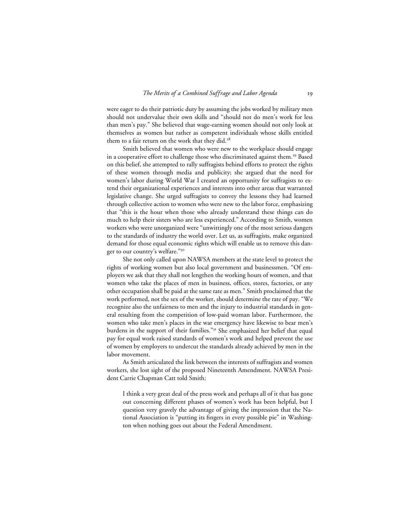were eager to do their patriotic duty by assuming the jobs worked by military men should not undervalue their own skills and "should not do men's work for less than men's pay." She believed that wage-earning women should not only look at themselves as women but rather as competent individuals whose skills entitled them to a fair return on the work that they did.<sup>28</sup>

Smith believed that women who were new to the workplace should engage in a cooperative effort to challenge those who discriminated against them.<sup>29</sup> Based on this belief, she attempted to rally suffragists behind efforts to protect the rights of these women through media and publicity; she argued that the need for women's labor during World War I created an opportunity for suffragists to extend their organizational experiences and interests into other areas that warranted legislative change. She urged suffragists to convey the lessons they had learned through collective action to women who were new to the labor force, emphasizing that "this is the hour when those who already understand these things can do much to help their sisters who are less experienced." According to Smith, women workers who were unorganized were "unwittingly one of the most serious dangers to the standards of industry the world over. Let us, as suffragists, make organized demand for those equal economic rights which will enable us to remove this danger to our country's welfare."30

She not only called upon NAWSA members at the state level to protect the rights of working women but also local government and businessmen. "Of employers we ask that they shall not lengthen the working hours of women, and that women who take the places of men in business, offices, stores, factories, or any other occupation shall be paid at the same rate as men." Smith proclaimed that the work performed, not the sex of the worker, should determine the rate of pay. "We recognize also the unfairness to men and the injury to industrial standards in general resulting from the competition of low-paid woman labor. Furthermore, the women who take men's places in the war emergency have likewise to bear men's burdens in the support of their families."31 She emphasized her belief that equal pay for equal work raised standards of women's work and helped prevent the use of women by employers to undercut the standards already achieved by men in the labor movement.

As Smith articulated the link between the interests of suffragists and women workers, she lost sight of the proposed Nineteenth Amendment. NAWSA President Carrie Chapman Catt told Smith:

I think a very great deal of the press work and perhaps all of it that has gone out concerning different phases of women's work has been helpful, but I question very gravely the advantage of giving the impression that the National Association is "putting its fingers in every possible pie" in Washington when nothing goes out about the Federal Amendment.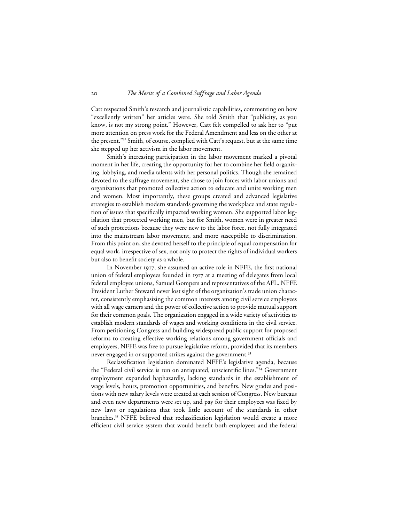Catt respected Smith's research and journalistic capabilities, commenting on how "excellently written" her articles were. She told Smith that "publicity, as you know, is not my strong point." However, Catt felt compelled to ask her to "put more attention on press work for the Federal Amendment and less on the other at the present."32 Smith, of course, complied with Catt's request, but at the same time she stepped up her activism in the labor movement.

Smith's increasing participation in the labor movement marked a pivotal moment in her life, creating the opportunity for her to combine her field organizing, lobbying, and media talents with her personal politics. Though she remained devoted to the suffrage movement, she chose to join forces with labor unions and organizations that promoted collective action to educate and unite working men and women. Most importantly, these groups created and advanced legislative strategies to establish modern standards governing the workplace and state regulation of issues that specifically impacted working women. She supported labor legislation that protected working men, but for Smith, women were in greater need of such protections because they were new to the labor force, not fully integrated into the mainstream labor movement, and more susceptible to discrimination. From this point on, she devoted herself to the principle of equal compensation for equal work, irrespective of sex, not only to protect the rights of individual workers but also to benefit society as a whole.

In November 1917, she assumed an active role in NFFE, the first national union of federal employees founded in 1917 at a meeting of delegates from local federal employee unions, Samuel Gompers and representatives of the AFL. NFFE President Luther Steward never lost sight of the organization's trade union character, consistently emphasizing the common interests among civil service employees with all wage earners and the power of collective action to provide mutual support for their common goals. The organization engaged in a wide variety of activities to establish modern standards of wages and working conditions in the civil service. From petitioning Congress and building widespread public support for proposed reforms to creating effective working relations among government officials and employees, NFFE was free to pursue legislative reform, provided that its members never engaged in or supported strikes against the government.<sup>33</sup>

Reclassification legislation dominated NFFE's legislative agenda, because the "Federal civil service is run on antiquated, unscientific lines."<sup>34</sup> Government employment expanded haphazardly, lacking standards in the establishment of wage levels, hours, promotion opportunities, and benefits. New grades and positions with new salary levels were created at each session of Congress. New bureaus and even new departments were set up, and pay for their employees was fixed by new laws or regulations that took little account of the standards in other branches.<sup>35</sup> NFFE believed that reclassification legislation would create a more efficient civil service system that would benefit both employees and the federal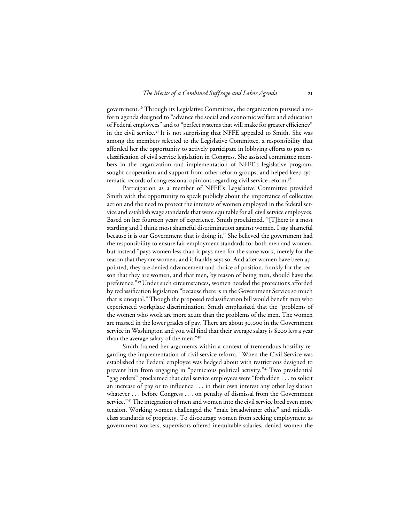government.36 Through its Legislative Committee, the organization pursued a reform agenda designed to "advance the social and economic welfare and education of Federal employees" and to "perfect systems that will make for greater efficiency" in the civil service.37 It is not surprising that NFFE appealed to Smith. She was among the members selected to the Legislative Committee, a responsibility that afforded her the opportunity to actively participate in lobbying efforts to pass reclassification of civil service legislation in Congress. She assisted committee members in the organization and implementation of NFFE's legislative program, sought cooperation and support from other reform groups, and helped keep systematic records of congressional opinions regarding civil service reform.38

Participation as a member of NFFE's Legislative Committee provided Smith with the opportunity to speak publicly about the importance of collective action and the need to protect the interests of women employed in the federal service and establish wage standards that were equitable for all civil service employees. Based on her fourteen years of experience, Smith proclaimed, "[T]here is a most startling and I think most shameful discrimination against women. I say shameful because it is our Government that is doing it." She believed the government had the responsibility to ensure fair employment standards for both men and women, but instead "pays women less than it pays men for the same work, merely for the reason that they are women, and it frankly says so. And after women have been appointed, they are denied advancement and choice of position, frankly for the reason that they are women, and that men, by reason of being men, should have the preference."39 Under such circumstances, women needed the protections afforded by reclassification legislation "because there is in the Government Service so much that is unequal." Though the proposed reclassification bill would benefit men who experienced workplace discrimination, Smith emphasized that the "problems of the women who work are more acute than the problems of the men. The women are massed in the lower grades of pay. There are about 30,000 in the Government service in Washington and you will find that their average salary is \$200 less a year than the average salary of the men."40

Smith framed her arguments within a context of tremendous hostility regarding the implementation of civil service reform. "When the Civil Service was established the Federal employee was hedged about with restrictions designed to prevent him from engaging in "pernicious political activity."41 Two presidential "gag orders" proclaimed that civil service employees were "forbidden . . . to solicit an increase of pay or to influence . . . in their own interest any other legislation whatever . . . before Congress . . . on penalty of dismissal from the Government service."<sup>42</sup> The integration of men and women into the civil service bred even more tension. Working women challenged the "male breadwinner ethic" and middleclass standards of propriety. To discourage women from seeking employment as government workers, supervisors offered inequitable salaries, denied women the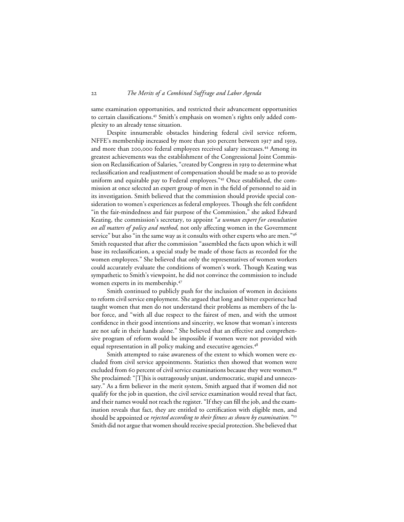same examination opportunities, and restricted their advancement opportunities to certain classifications.<sup>43</sup> Smith's emphasis on women's rights only added complexity to an already tense situation.

Despite innumerable obstacles hindering federal civil service reform, NFFE's membership increased by more than 300 percent between 1917 and 1919, and more than 200,000 federal employees received salary increases.44 Among its greatest achievements was the establishment of the Congressional Joint Commission on Reclassification of Salaries, "created by Congress in 1919 to determine what reclassification and readjustment of compensation should be made so as to provide uniform and equitable pay to Federal employees."<sup>45</sup> Once established, the commission at once selected an expert group of men in the field of personnel to aid in its investigation. Smith believed that the commission should provide special consideration to women's experiences as federal employees. Though she felt confident "in the fair-mindedness and fair purpose of the Commission," she asked Edward Keating, the commission's secretary, to appoint "*a woman expert for consultation on all matters of policy and method,* not only affecting women in the Government service" but also "in the same way as it consults with other experts who are men."<sup>46</sup> Smith requested that after the commission "assembled the facts upon which it will base its reclassification, a special study be made of those facts as recorded for the women employees." She believed that only the representatives of women workers could accurately evaluate the conditions of women's work. Though Keating was sympathetic to Smith's viewpoint, he did not convince the commission to include women experts in its membership.47

Smith continued to publicly push for the inclusion of women in decisions to reform civil service employment. She argued that long and bitter experience had taught women that men do not understand their problems as members of the labor force, and "with all due respect to the fairest of men, and with the utmost confidence in their good intentions and sincerity, we know that woman's interests are not safe in their hands alone." She believed that an effective and comprehensive program of reform would be impossible if women were not provided with equal representation in all policy making and executive agencies.<sup>48</sup>

Smith attempted to raise awareness of the extent to which women were excluded from civil service appointments. Statistics then showed that women were excluded from 60 percent of civil service examinations because they were women.<sup>49</sup> She proclaimed: "[T]his is outrageously unjust, undemocratic, stupid and unnecessary." As a firm believer in the merit system, Smith argued that if women did not qualify for the job in question, the civil service examination would reveal that fact, and their names would not reach the register. "If they can fill the job, and the examination reveals that fact, they are entitled to certification with eligible men, and should be appointed or *rejected according to their fitness as shown by examination.*"<sup>50</sup> Smith did not argue that women should receive special protection. She believed that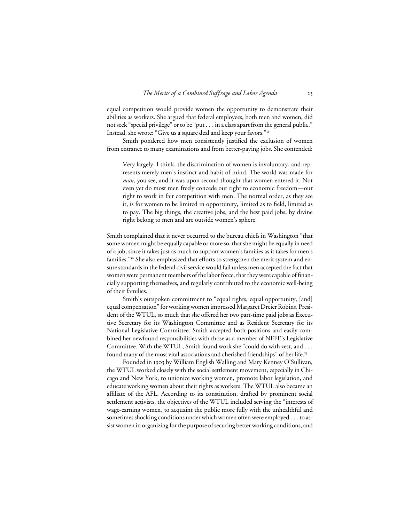equal competition would provide women the opportunity to demonstrate their abilities as workers. She argued that federal employees, both men and women, did not seek "special privilege" or to be "put . . . in a class apart from the general public." Instead, she wrote: "Give us a square deal and keep your favors."51

Smith pondered how men consistently justified the exclusion of women from entrance to many examinations and from better-paying jobs. She contended:

Very largely, I think, the discrimination of women is involuntary, and represents merely men's instinct and habit of mind. The world was made for *man*, you see, and it was upon second thought that women entered it. Not even yet do most men freely concede our right to economic freedom—our right to work in fair competition with men. The normal order, as they see it, is for women to be limited in opportunity, limited as to field, limited as to pay. The big things, the creative jobs, and the best paid jobs, by divine right belong to men and are outside women's sphere.

Smith complained that it never occurred to the bureau chiefs in Washington "that some women might be equally capable or more so, that she might be equally in need of a job, since it takes just as much to support women's families as it takes for men's families."<sup>52</sup> She also emphasized that efforts to strengthen the merit system and ensure standards in the federal civil service would fail unless men accepted the fact that women were permanent members of the labor force, that they were capable of financially supporting themselves, and regularly contributed to the economic well-being of their families.

Smith's outspoken commitment to "equal rights, equal opportunity, [and] equal compensation" for working women impressed Margaret Dreier Robins, President of the WTUL, so much that she offered her two part-time paid jobs as Executive Secretary for its Washington Committee and as Resident Secretary for its National Legislative Committee. Smith accepted both positions and easily combined her newfound responsibilities with those as a member of NFFE's Legislative Committee. With the WTUL, Smith found work she "could do with zest, and . . . found many of the most vital associations and cherished friendships" of her life.<sup>53</sup>

Founded in 1903 by William English Walling and Mary Kenney O'Sullivan, the WTUL worked closely with the social settlement movement, especially in Chicago and New York, to unionize working women, promote labor legislation, and educate working women about their rights as workers. The WTUL also became an affiliate of the AFL. According to its constitution, drafted by prominent social settlement activists, the objectives of the WTUL included serving the "interests of wage-earning women, to acquaint the public more fully with the unhealthful and sometimes shocking conditions under which women often were employed . . . to assist women in organizing for the purpose of securing better working conditions, and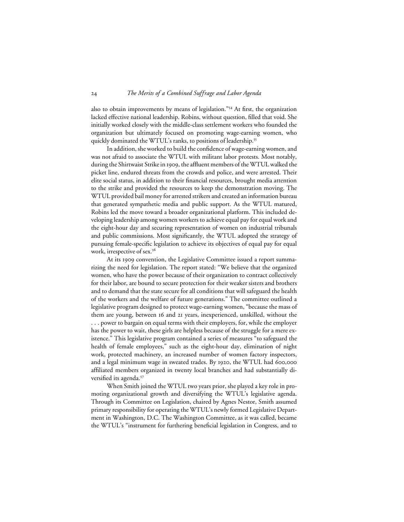also to obtain improvements by means of legislation."<sup>54</sup> At first, the organization lacked effective national leadership. Robins, without question, filled that void. She initially worked closely with the middle-class settlement workers who founded the organization but ultimately focused on promoting wage-earning women, who quickly dominated the WTUL's ranks, to positions of leadership.<sup>55</sup>

In addition, she worked to build the confidence of wage-earning women, and was not afraid to associate the WTUL with militant labor protests. Most notably, during the Shirtwaist Strike in 1909, the affluent members of the WTUL walked the picket line, endured threats from the crowds and police, and were arrested. Their elite social status, in addition to their financial resources, brought media attention to the strike and provided the resources to keep the demonstration moving. The WTUL provided bail money for arrested strikers and created an information bureau that generated sympathetic media and public support. As the WTUL matured, Robins led the move toward a broader organizational platform. This included developing leadership among women workers to achieve equal pay for equal work and the eight-hour day and securing representation of women on industrial tribunals and public commissions. Most significantly, the WTUL adopted the strategy of pursuing female-specific legislation to achieve its objectives of equal pay for equal work, irrespective of sex.<sup>56</sup>

At its 1909 convention, the Legislative Committee issued a report summarizing the need for legislation. The report stated: "We believe that the organized women, who have the power because of their organization to contract collectively for their labor, are bound to secure protection for their weaker sisters and brothers and to demand that the state secure for all conditions that will safeguard the health of the workers and the welfare of future generations." The committee outlined a legislative program designed to protect wage-earning women, "because the mass of them are young, between 16 and 21 years, inexperienced, unskilled, without the . . . power to bargain on equal terms with their employers, for, while the employer has the power to wait, these girls are helpless because of the struggle for a mere existence." This legislative program contained a series of measures "to safeguard the health of female employees," such as the eight-hour day, elimination of night work, protected machinery, an increased number of women factory inspectors, and a legal minimum wage in sweated trades. By 1920, the WTUL had 600,000 affiliated members organized in twenty local branches and had substantially diversified its agenda.<sup>57</sup>

When Smith joined the WTUL two years prior, she played a key role in promoting organizational growth and diversifying the WTUL's legislative agenda. Through its Committee on Legislation, chaired by Agnes Nestor, Smith assumed primary responsibility for operating the WTUL's newly formed Legislative Department in Washington, D.C. The Washington Committee, as it was called, became the WTUL's "instrument for furthering beneficial legislation in Congress, and to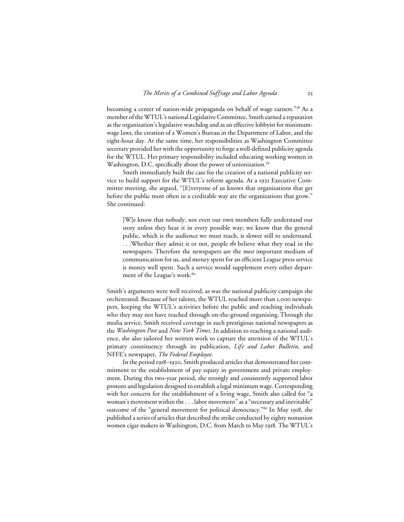becoming a center of nation-wide propaganda on behalf of wage earners."58 As a member of the WTUL's national Legislative Committee, Smith earned a reputation as the organization's legislative watchdog and as an effective lobbyist for minimumwage laws, the creation of a Women's Bureau in the Department of Labor, and the eight-hour day. At the same time, her responsibilities as Washington Committee secretary provided her with the opportunity to forge a well-defined publicity agenda for the WTUL. Her primary responsibility included educating working women in Washington, D.C. specifically about the power of unionization.<sup>59</sup>

Smith immediately built the case for the creation of a national publicity service to build support for the WTUL's reform agenda. At a 1921 Executive Committee meeting, she argued, "[E]veryone of us knows that organizations that get before the public most often in a creditable way are the organizations that grow." She continued:

[W]e know that nobody, not even our own members fully understand our story unless they hear it in every possible way; we know that the general public, which is the audience we must reach, is slower still to understand. . . .Whether they admit it or not, people *do* believe what they read in the newspapers. Therefore the newspapers are the *most* important medium of communication for us, and money spent for an efficient League press service is money well spent. Such a service would supplement every other department of the League's work.<sup>60</sup>

Smith's arguments were well received, as was the national publicity campaign she orchestrated. Because of her talents, the WTUL reached more than 1,000 newspapers, keeping the WTUL's activities before the public and reaching individuals who they may not have reached through on-the-ground organizing. Through the media service, Smith received coverage in such prestigious national newspapers as the *Washington Post* and *New York Times*. In addition to reaching a national audience, she also tailored her written work to capture the attention of the WTUL's primary constituency through its publication, *Life and Labor Bulletin,* and NFFE's newspaper, *The Federal Employee*.

In the period 1918–1920, Smith produced articles that demonstrated her commitment to the establishment of pay equity in government and private employment. During this two-year period, she strongly and consistently supported labor protests and legislation designed to establish a legal minimum wage. Corresponding with her concern for the establishment of a living wage, Smith also called for "a woman's movement within the . . . labor movement" as a "necessary and inevitable" outcome of the "general movement for political democracy."61 In May 1918, she published a series of articles that described the strike conducted by eighty nonunion women cigar makers in Washington, D.C. from March to May 1918. The WTUL's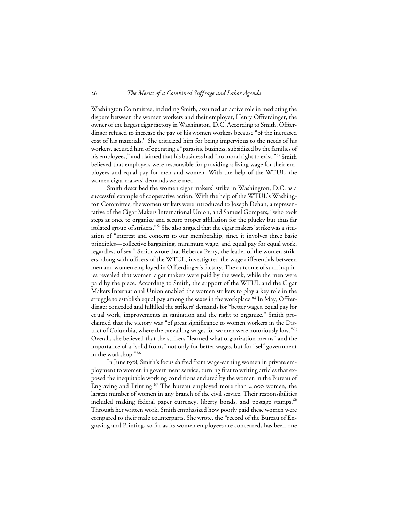Washington Committee, including Smith, assumed an active role in mediating the dispute between the women workers and their employer, Henry Offterdinger, the owner of the largest cigar factory in Washington, D.C. According to Smith, Offterdinger refused to increase the pay of his women workers because "of the increased cost of his materials." She criticized him for being impervious to the needs of his workers, accused him of operating a "parasitic business, subsidized by the families of his employees," and claimed that his business had "no moral right to exist."<sup>62</sup> Smith believed that employers were responsible for providing a living wage for their employees and equal pay for men and women. With the help of the WTUL, the women cigar makers' demands were met.

Smith described the women cigar makers' strike in Washington, D.C. as a successful example of cooperative action. With the help of the WTUL's Washington Committee, the women strikers were introduced to Joseph Dehan, a representative of the Cigar Makers International Union, and Samuel Gompers, "who took steps at once to organize and secure proper affiliation for the plucky but thus far isolated group of strikers."<sup>63</sup> She also argued that the cigar makers' strike was a situation of "interest and concern to our membership, since it involves three basic principles—collective bargaining, minimum wage, and equal pay for equal work, regardless of sex." Smith wrote that Rebecca Perry, the leader of the women strikers, along with officers of the WTUL, investigated the wage differentials between men and women employed in Offterdinger's factory. The outcome of such inquiries revealed that women cigar makers were paid by the week, while the men were paid by the piece. According to Smith, the support of the WTUL and the Cigar Makers International Union enabled the women strikers to play a key role in the struggle to establish equal pay among the sexes in the workplace.<sup>64</sup> In May, Offterdinger conceded and fulfilled the strikers' demands for "better wages, equal pay for equal work, improvements in sanitation and the right to organize." Smith proclaimed that the victory was "of great significance to women workers in the District of Columbia, where the prevailing wages for women were notoriously low."<sup>65</sup> Overall, she believed that the strikers "learned what organization means" and the importance of a "solid front," not only for better wages, but for "self-government in the workshop."66

In June 1918, Smith's focus shifted from wage-earning women in private employment to women in government service, turning first to writing articles that exposed the inequitable working conditions endured by the women in the Bureau of Engraving and Printing.<sup>67</sup> The bureau employed more than 4,000 women, the largest number of women in any branch of the civil service. Their responsibilities included making federal paper currency, liberty bonds, and postage stamps.<sup>68</sup> Through her written work, Smith emphasized how poorly paid these women were compared to their male counterparts. She wrote, the "record of the Bureau of Engraving and Printing, so far as its women employees are concerned, has been one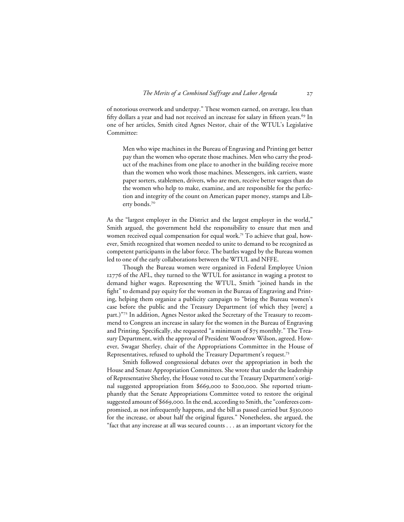of notorious overwork and underpay." These women earned, on average, less than fifty dollars a year and had not received an increase for salary in fifteen years.<sup>69</sup> In one of her articles, Smith cited Agnes Nestor, chair of the WTUL's Legislative Committee:

Men who wipe machines in the Bureau of Engraving and Printing get better pay than the women who operate those machines. Men who carry the product of the machines from one place to another in the building receive more than the women who work those machines. Messengers, ink carriers, waste paper sorters, stablemen, drivers, who are men, receive better wages than do the women who help to make, examine, and are responsible for the perfection and integrity of the count on American paper money, stamps and Liberty bonds.70

As the "largest employer in the District and the largest employer in the world," Smith argued, the government held the responsibility to ensure that men and women received equal compensation for equal work.<sup>71</sup> To achieve that goal, however, Smith recognized that women needed to unite to demand to be recognized as competent participants in the labor force. The battles waged by the Bureau women led to one of the early collaborations between the WTUL and NFFE.

Though the Bureau women were organized in Federal Employee Union 12776 of the AFL, they turned to the WTUL for assistance in waging a protest to demand higher wages. Representing the WTUL, Smith "joined hands in the fight" to demand pay equity for the women in the Bureau of Engraving and Printing, helping them organize a publicity campaign to "bring the Bureau women's case before the public and the Treasury Department (of which they [were] a part.)"72 In addition, Agnes Nestor asked the Secretary of the Treasury to recommend to Congress an increase in salary for the women in the Bureau of Engraving and Printing. Specifically, she requested "a minimum of  $\frac{5}{75}$  monthly." The Treasury Department, with the approval of President Woodrow Wilson, agreed. However, Swagar Sherley, chair of the Appropriations Committee in the House of Representatives, refused to uphold the Treasury Department's request.73

Smith followed congressional debates over the appropriation in both the House and Senate Appropriation Committees. She wrote that under the leadership of Representative Sherley, the House voted to cut the Treasury Department's original suggested appropriation from \$669,000 to \$200,000. She reported triumphantly that the Senate Appropriations Committee voted to restore the original suggested amount of \$669,000. In the end, according to Smith, the "conferees compromised, as not infrequently happens, and the bill as passed carried but \$330,000 for the increase, or about half the original figures." Nonetheless, she argued, the "fact that any increase at all was secured counts . . . as an important victory for the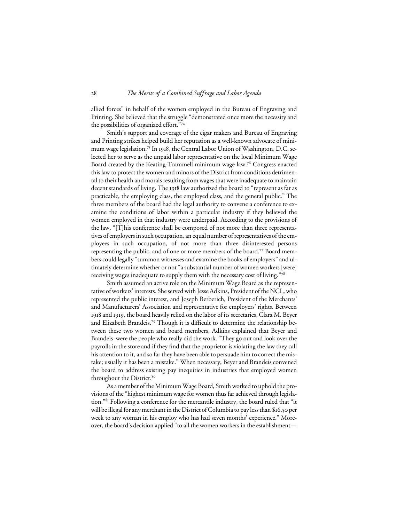allied forces" in behalf of the women employed in the Bureau of Engraving and Printing. She believed that the struggle "demonstrated once more the necessity and the possibilities of organized effort."74

Smith's support and coverage of the cigar makers and Bureau of Engraving and Printing strikes helped build her reputation as a well-known advocate of minimum wage legislation.75 In 1918, the Central Labor Union of Washington, D.C. selected her to serve as the unpaid labor representative on the local Minimum Wage Board created by the Keating-Trammell minimum wage law.76 Congress enacted this law to protect the women and minors of the District from conditions detrimental to their health and morals resulting from wages that were inadequate to maintain decent standards of living. The 1918 law authorized the board to "represent as far as practicable, the employing class, the employed class, and the general public." The three members of the board had the legal authority to convene a conference to examine the conditions of labor within a particular industry if they believed the women employed in that industry were underpaid. According to the provisions of the law, "[T]his conference shall be composed of not more than three representatives of employers in such occupation, an equal number of representatives of the employees in such occupation, of not more than three disinterested persons representing the public, and of one or more members of the board.77 Board members could legally "summon witnesses and examine the books of employers" and ultimately determine whether or not "a substantial number of women workers [were] receiving wages inadequate to supply them with the necessary cost of living."78

Smith assumed an active role on the Minimum Wage Board as the representative of workers' interests. She served with Jesse Adkins, President of the NCL, who represented the public interest, and Joseph Berberich, President of the Merchants' and Manufacturers' Association and representative for employers' rights. Between 1918 and 1919, the board heavily relied on the labor of its secretaries, Clara M. Beyer and Elizabeth Brandeis.<sup>79</sup> Though it is difficult to determine the relationship between these two women and board members, Adkins explained that Beyer and Brandeis were the people who really did the work. "They go out and look over the payrolls in the store and if they find that the proprietor is violating the law they call his attention to it, and so far they have been able to persuade him to correct the mistake; usually it has been a mistake." When necessary, Beyer and Brandeis convened the board to address existing pay inequities in industries that employed women throughout the District.<sup>80</sup>

As a member of the Minimum Wage Board, Smith worked to uphold the provisions of the "highest minimum wage for women thus far achieved through legislation."81 Following a conference for the mercantile industry, the board ruled that "it will be illegal for any merchant in the District of Columbia to pay less than \$16.50 per week to any woman in his employ who has had seven months' experience." Moreover, the board's decision applied "to all the women workers in the establishment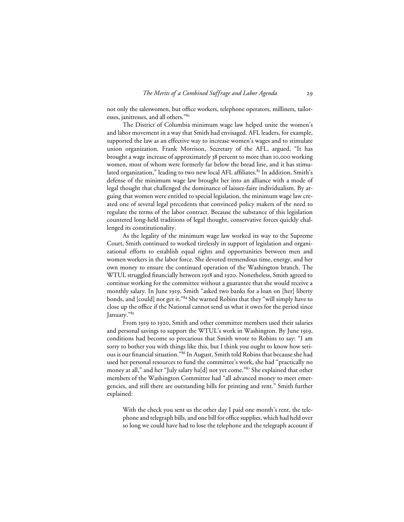not only the saleswomen, but office workers, telephone operators, milliners, tailoresses, janitresses, and all others."82

The District of Columbia minimum wage law helped unite the women's and labor movement in a way that Smith had envisaged. AFL leaders, for example, supported the law as an effective way to increase women's wages and to stimulate union organization. Frank Morrison, Secretary of the AFL, argued, "It has brought a wage increase of approximately 38 percent to more than 10,000 working women, most of whom were formerly far below the bread line, and it has stimulated organization," leading to two new local AFL affiliates. $8<sup>3</sup>$  In addition, Smith's defense of the minimum wage law brought her into an alliance with a mode of legal thought that challenged the dominance of laissez-faire individualism. By arguing that women were entitled to special legislation, the minimum wage law created one of several legal precedents that convinced policy makers of the need to regulate the terms of the labor contract. Because the substance of this legislation countered long-held traditions of legal thought, conservative forces quickly challenged its constitutionality.

As the legality of the minimum wage law worked its way to the Supreme Court, Smith continued to worked tirelessly in support of legislation and organizational efforts to establish equal rights and opportunities between men and women workers in the labor force. She devoted tremendous time, energy, and her own money to ensure the continued operation of the Washington branch. The WTUL struggled financially between 1918 and 1920. Nonetheless, Smith agreed to continue working for the committee without a guarantee that she would receive a monthly salary. In June 1919, Smith "asked two banks for a loan on [her] liberty bonds, and [could] not get it."84 She warned Robins that they "will simply have to close up the office if the National cannot send us what it owes for the period since January."85

From 1919 to 1920, Smith and other committee members used their salaries and personal savings to support the WTUL's work in Washington. By June 1919, conditions had become so precarious that Smith wrote to Robins to say: "I am sorry to bother you with things like this, but I think you ought to know how serious is our financial situation."86 In August, Smith told Robins that because she had used her personal resources to fund the committee's work, she had "practically no money at all," and her "July salary ha[d] not yet come."87 She explained that other members of the Washington Committee had "all advanced money to meet emergencies, and still there are outstanding bills for printing and rent." Smith further explained:

With the check you sent us the other day I paid one month's rent, the telephone and telegraph bills, and one bill for office supplies, which had held over so long we could have had to lose the telephone and the telegraph account if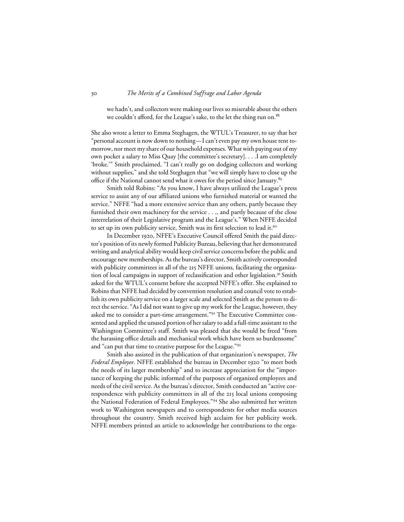we hadn't, and collectors were making our lives so miserable about the others we couldn't afford, for the League's sake, to the let the thing run on.<sup>88</sup>

She also wrote a letter to Emma Steghagen, the WTUL's Treasurer, to say that her "personal account is now down to nothing—I can't even pay my own house rent tomorrow, nor meet my share of our household expenses. What with paying out of my own pocket a salary to Miss Quay [the committee's secretary]. . . .I am completely 'broke.'" Smith proclaimed, "I can't really go on dodging collectors and working without supplies," and she told Steghagen that "we will simply have to close up the office if the National cannot send what it owes for the period since January.<sup>89</sup>

Smith told Robins: "As you know, I have always utilized the League's press service to assist any of our affiliated unions who furnished material or wanted the service." NFFE "had a more extensive service than any others, partly because they furnished their own machinery for the service . . ., and partly because of the close interrelation of their Legislative program and the League's." When NFFE decided to set up its own publicity service, Smith was its first selection to lead it.<sup>90</sup>

In December 1920, NFFE's Executive Council offered Smith the paid director's position of its newly formed Publicity Bureau, believing that her demonstrated writing and analytical ability would keep civil service concerns before the public and encourage new memberships. As the bureau's director, Smith actively corresponded with publicity committees in all of the 215 NFFE unions, facilitating the organization of local campaigns in support of reclassification and other legislation.<sup>91</sup> Smith asked for the WTUL's consent before she accepted NFFE's offer. She explained to Robins that NFFE had decided by convention resolution and council vote to establish its own publicity service on a larger scale and selected Smith as the person to direct the service. "As I did not want to give up my work for the League, however, they asked me to consider a part-time arrangement."<sup>92</sup> The Executive Committee consented and applied the unused portion of her salary to add a full-time assistant to the Washington Committee's staff. Smith was pleased that she would be freed "from the harassing office details and mechanical work which have been so burdensome" and "can put that time to creative purpose for the League."93

Smith also assisted in the publication of that organization's newspaper, *The Federal Employee*. NFFE established the bureau in December 1920 "to meet both the needs of its larger membership" and to increase appreciation for the "importance of keeping the public informed of the purposes of organized employees and needs of the civil service. As the bureau's director, Smith conducted an "active correspondence with publicity committees in all of the 215 local unions composing the National Federation of Federal Employees."94 She also submitted her written work to Washington newspapers and to correspondents for other media sources throughout the country. Smith received high acclaim for her publicity work. NFFE members printed an article to acknowledge her contributions to the orga-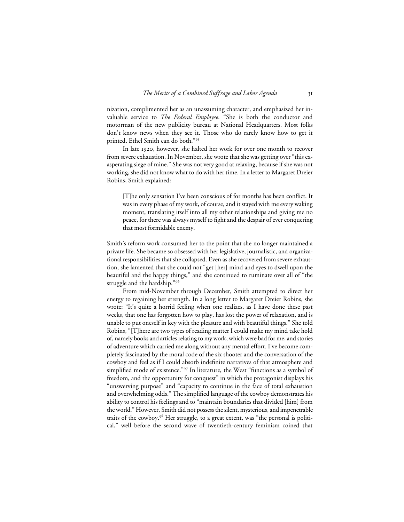nization, complimented her as an unassuming character, and emphasized her invaluable service to *The Federal Employee*. "She is both the conductor and motorman of the new publicity bureau at National Headquarters. Most folks don't know news when they see it. Those who do rarely know how to get it printed. Ethel Smith can do both."95

In late 1920, however, she halted her work for over one month to recover from severe exhaustion. In November, she wrote that she was getting over "this exasperating siege of mine." She was not very good at relaxing, because if she was not working, she did not know what to do with her time. In a letter to Margaret Dreier Robins, Smith explained:

[T]he only sensation I've been conscious of for months has been conflict. It was in every phase of my work, of course, and it stayed with me every waking moment, translating itself into all my other relationships and giving me no peace, for there was always myself to fight and the despair of ever conquering that most formidable enemy.

Smith's reform work consumed her to the point that she no longer maintained a private life. She became so obsessed with her legislative, journalistic, and organizational responsibilities that she collapsed. Even as she recovered from severe exhaustion, she lamented that she could not "get [her] mind and eyes to dwell upon the beautiful and the happy things," and she continued to ruminate over all of "the struggle and the hardship."<sup>96</sup>

From mid-November through December, Smith attempted to direct her energy to regaining her strength. In a long letter to Margaret Dreier Robins, she wrote: "It's quite a horrid feeling when one realizes, as I have done these past weeks, that one has forgotten how to play, has lost the power of relaxation, and is unable to put oneself in key with the pleasure and with beautiful things." She told Robins, "[T]here are two types of reading matter I could make my mind take hold of, namely books and articles relating to my work, which were bad for me, and stories of adventure which carried me along without any mental effort. I've become completely fascinated by the moral code of the six shooter and the conversation of the cowboy and feel as if I could absorb indefinite narratives of that atmosphere and simplified mode of existence."97 In literature, the West "functions as a symbol of freedom, and the opportunity for conquest" in which the protagonist displays his "unswerving purpose" and "capacity to continue in the face of total exhaustion and overwhelming odds." The simplified language of the cowboy demonstrates his ability to control his feelings and to "maintain boundaries that divided [him] from the world." However, Smith did not possess the silent, mysterious, and impenetrable traits of the cowboy.98 Her struggle, to a great extent, was "the personal is political," well before the second wave of twentieth-century feminism coined that